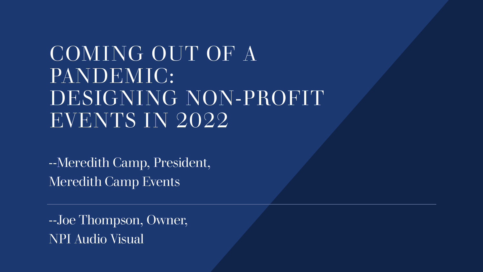# COMING OUT OF A PANDEMIC: DESIGNING NON-PROFIT EVENTS IN 2022

--Meredith Camp, President, Meredith Camp Events

--Joe Thompson, Owner, NPI Audio Visual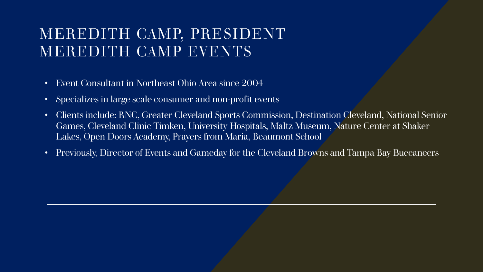#### MEREDITH CAMP, PRESIDENT MEREDITH CAMP EVENTS

- Event Consultant in Northeast Ohio Area since 2004
- Specializes in large scale consumer and non-profit events
- Clients include: RNC, Greater Cleveland Sports Commission, Destination Cleveland, National Senior Games, Cleveland Clinic Timken, University Hospitals, Maltz Museum, Nature Center at Shaker Lakes, Open Doors Academy, Prayers from Maria, Beaumont School
- Previously, Director of Events and Gameday for the Cleveland Browns and Tampa Bay Buccaneers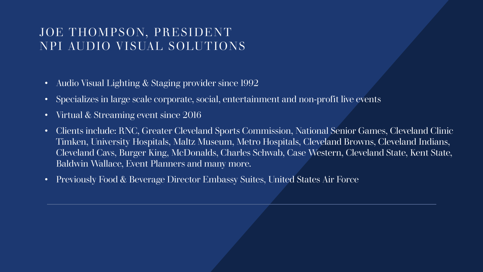#### JOE THOMPSON, PRESIDENT NPI AUDIO VISUAL SOLUTIONS

- Audio Visual Lighting & Staging provider since 1992
- Specializes in large scale corporate, social, entertainment and non-profit live events
- Virtual & Streaming event since 2016
- Clients include: RNC, Greater Cleveland Sports Commission, National Senior Games, Cleveland Clinic Timken, University Hospitals, Maltz Museum, Metro Hospitals, Cleveland Browns, Cleveland Indians, Cleveland Cavs, Burger King, McDonalds, Charles Schwab, Case Western, Cleveland State, Kent State, Baldwin Wallace, Event Planners and many more.
- Previously Food & Beverage Director Embassy Suites, United States Air Force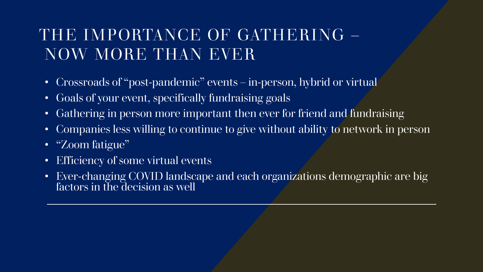## THE IMPORTANCE OF GATHERING – NOW MORE THAN EVER

- Crossroads of "post-pandemic" events in-person, hybrid or virtual
- Goals of your event, specifically fundraising goals
- Gathering in person more important then ever for friend and fundraising
- Companies less willing to continue to give without ability to network in person
- "Zoom fatigue"
- Efficiency of some virtual events
- Ever-changing COVID landscape and each organizations demographic are big factors in the decision as well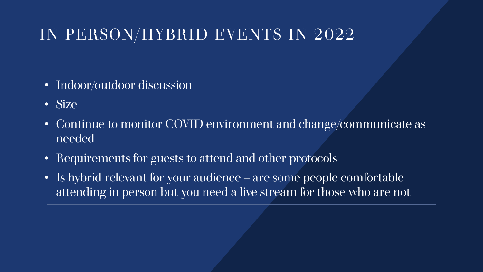#### IN PERSON/HYBRID EVENTS IN 2022

- Indoor/outdoor discussion
- Size
- Continue to monitor COVID environment and change/communicate as needed
- Requirements for guests to attend and other protocols
- Is hybrid relevant for your audience are some people comfortable attending in person but you need a live stream for those who are not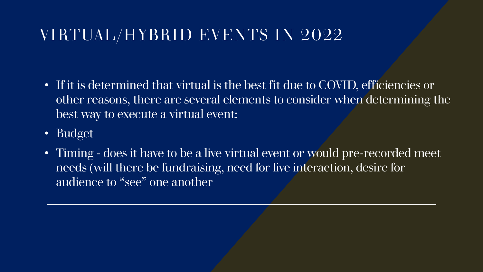# VIRTUAL/HYBRID EVENTS IN 2022

- If it is determined that virtual is the best fit due to COVID, efficiencies or other reasons, there are several elements to consider when determining the best way to execute a virtual event:
- Budget
- Timing does it have to be a live virtual event or would pre-recorded meet needs (will there be fundraising, need for live interaction, desire for audience to "see" one another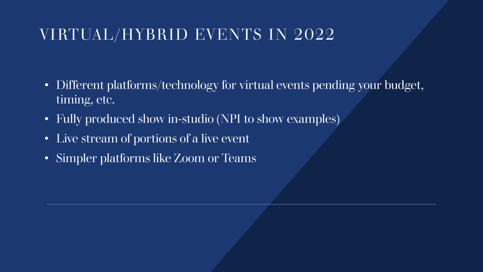### VIRTUAL/HYBRID EVENTS IN 2022

- Different platforms/technology for virtual events pending your budget, timing, etc.
- Fully produced show in-studio (NPI to show examples)
- Live stream of portions of a live event
- Simpler platforms like Zoom or Teams